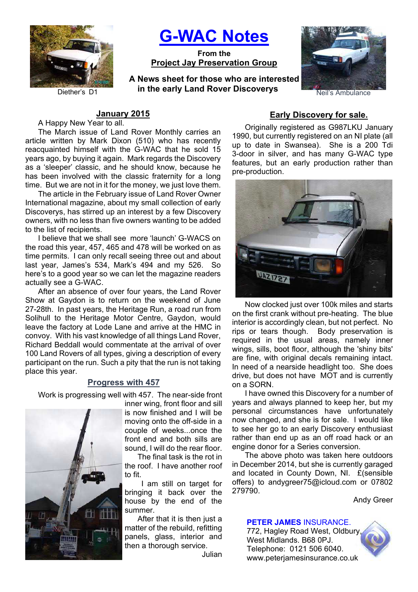

**G-WAC Notes**

**From the Project Jay Preservation Group**

Diether's D1 **in the early Land Rover Discoverys** Neil's Ambulance **A News sheet for those who are interested** 



# **January 2015**

A Happy New Year to all.

The March issue of Land Rover Monthly carries an article written by Mark Dixon (510) who has recently reacquainted himself with the G-WAC that he sold 15 years ago, by buying it again. Mark regards the Discovery as a 'sleeper' classic, and he should know, because he has been involved with the classic fraternity for a long time. But we are not in it for the money, we just love them.

The article in the February issue of Land Rover Owner International magazine, about my small collection of early Discoverys, has stirred up an interest by a few Discovery owners, with no less than five owners wanting to be added to the list of recipients.

I believe that we shall see more 'launch' G-WACS on the road this year, 457, 465 and 478 will be worked on as time permits. I can only recall seeing three out and about last year, James's 534, Mark's 494 and my 526. So here's to a good year so we can let the magazine readers actually see a G-WAC.

After an absence of over four years, the Land Rover Show at Gaydon is to return on the weekend of June 27-28th. In past years, the Heritage Run, a road run from Solihull to the Heritage Motor Centre, Gaydon, would leave the factory at Lode Lane and arrive at the HMC in convoy. With his vast knowledge of all things Land Rover, Richard Beddall would commentate at the arrival of over 100 Land Rovers of all types, giving a description of every participant on the run. Such a pity that the run is not taking place this year.

# **Progress with 457**

Work is progressing well with 457. The near-side front



inner wing, front floor and sill is now finished and I will be moving onto the off-side in a couple of weeks...once the front end and both sills are sound, I will do the rear floor.

The final task is the rot in the roof. I have another roof to fit.

 I am still on target for bringing it back over the house by the end of the summer.

After that it is then just a matter of the rebuild, refitting panels, glass, interior and then a thorough service.

Julian

# **Early Discovery for sale.**

Originally registered as G987LKU January 1990, but currently registered on an NI plate (all up to date in Swansea). She is a 200 Tdi 3-door in silver, and has many G-WAC type features, but an early production rather than pre-production.



Now clocked just over 100k miles and starts on the first crank without pre-heating. The blue interior is accordingly clean, but not perfect. No rips or tears though. Body preservation is required in the usual areas, namely inner wings, sills, boot floor, although the 'shiny bits' are fine, with original decals remaining intact. In need of a nearside headlight too. She does drive, but does not have MOT and is currently on a SORN.

I have owned this Discovery for a number of years and always planned to keep her, but my personal circumstances have unfortunately now changed, and she is for sale. I would like to see her go to an early Discovery enthusiast rather than end up as an off road hack or an engine donor for a Series conversion.

The above photo was taken here outdoors in December 2014, but she is currently garaged and located in County Down, NI. £(sensible offers) to andygreer75@icloud.com or 07802 279790.

Andy Greer

## **PETER JAMES** INSURANCE.

772, Hagley Road West, Oldbury, West Midlands. B68 0PJ. Telephone: 0121 506 6040. www.peterjamesinsurance.co.uk

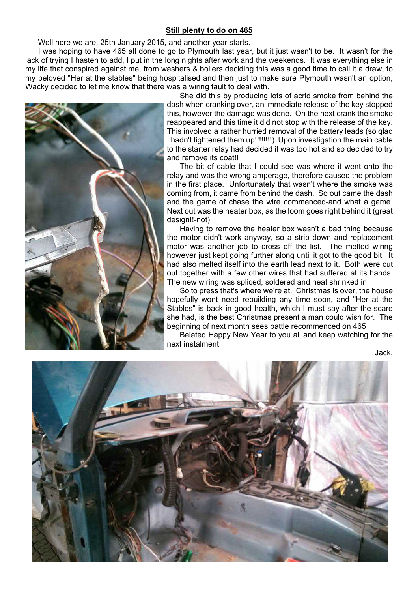## **Still plenty to do on 465**

Well here we are, 25th January 2015, and another year starts.

I was hoping to have 465 all done to go to Plymouth last year, but it just wasn't to be. It wasn't for the lack of trying I hasten to add, I put in the long nights after work and the weekends. It was everything else in my life that conspired against me, from washers & boilers deciding this was a good time to call it a draw, to my beloved "Her at the stables" being hospitalised and then just to make sure Plymouth wasn't an option, Wacky decided to let me know that there was a wiring fault to deal with.



She did this by producing lots of acrid smoke from behind the dash when cranking over, an immediate release of the key stopped this, however the damage was done. On the next crank the smoke reappeared and this time it did not stop with the release of the key. This involved a rather hurried removal of the battery leads (so glad I hadn't tightened them up!!!!!!!!) Upon investigation the main cable to the starter relay had decided it was too hot and so decided to try and remove its coat!!

The bit of cable that I could see was where it went onto the relay and was the wrong amperage, therefore caused the problem in the first place. Unfortunately that wasn't where the smoke was coming from, it came from behind the dash. So out came the dash and the game of chase the wire commenced-and what a game. Next out was the heater box, as the loom goes right behind it (great design!!-not)

Having to remove the heater box wasn't a bad thing because the motor didn't work anyway, so a strip down and replacement motor was another job to cross off the list. The melted wiring however just kept going further along until it got to the good bit. It had also melted itself into the earth lead next to it. Both were cut out together with a few other wires that had suffered at its hands. The new wiring was spliced, soldered and heat shrinked in.

So to press that's where we're at. Christmas is over, the house hopefully wont need rebuilding any time soon, and "Her at the Stables" is back in good health, which I must say after the scare she had, is the best Christmas present a man could wish for. The beginning of next month sees battle recommenced on 465

Belated Happy New Year to you all and keep watching for the next instalment,

Jack.

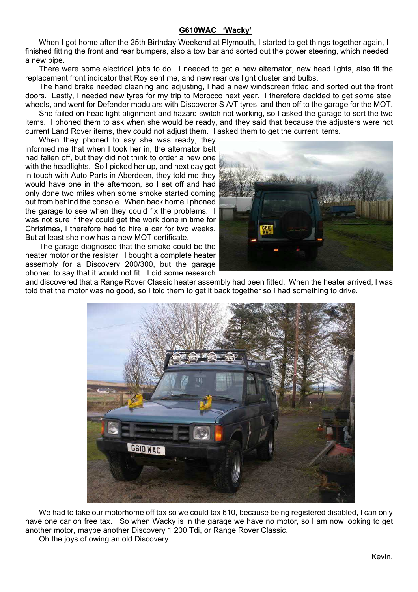# **G610WAC 'Wacky'**

When I got home after the 25th Birthday Weekend at Plymouth, I started to get things together again, I finished fitting the front and rear bumpers, also a tow bar and sorted out the power steering, which needed a new pipe.

There were some electrical jobs to do. I needed to get a new alternator, new head lights, also fit the replacement front indicator that Roy sent me, and new rear o/s light cluster and bulbs.

The hand brake needed cleaning and adjusting, I had a new windscreen fitted and sorted out the front doors. Lastly, I needed new tyres for my trip to Morocco next year. I therefore decided to get some steel wheels, and went for Defender modulars with Discoverer S A/T tyres, and then off to the garage for the MOT.

She failed on head light alignment and hazard switch not working, so I asked the garage to sort the two items. I phoned them to ask when she would be ready, and they said that because the adjusters were not current Land Rover items, they could not adjust them. I asked them to get the current items.

When they phoned to say she was ready, they informed me that when I took her in, the alternator belt had fallen off, but they did not think to order a new one with the headlights. So I picked her up, and next day got in touch with Auto Parts in Aberdeen, they told me they would have one in the afternoon, so I set off and had only done two miles when some smoke started coming out from behind the console. When back home I phoned the garage to see when they could fix the problems. I was not sure if they could get the work done in time for Christmas, I therefore had to hire a car for two weeks. But at least she now has a new MOT certificate.

The garage diagnosed that the smoke could be the heater motor or the resister. I bought a complete heater assembly for a Discovery 200/300, but the garage phoned to say that it would not fit. I did some research



and discovered that a Range Rover Classic heater assembly had been fitted. When the heater arrived, I was told that the motor was no good, so I told them to get it back together so I had something to drive.



We had to take our motorhome off tax so we could tax 610, because being registered disabled, I can only have one car on free tax. So when Wacky is in the garage we have no motor, so I am now looking to get another motor, maybe another Discovery 1 200 Tdi, or Range Rover Classic.

Oh the joys of owing an old Discovery.